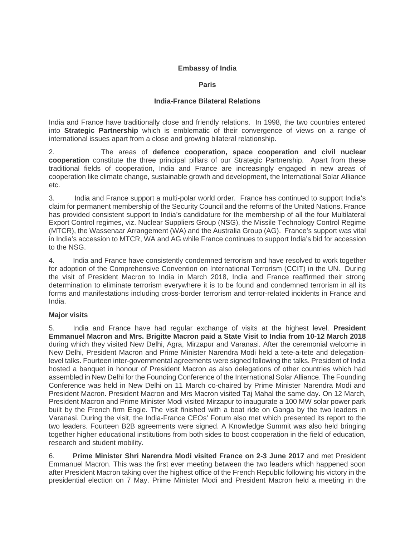### **Embassy of India**

#### **Paris**

#### **India-France Bilateral Relations**

India and France have traditionally close and friendly relations. In 1998, the two countries entered into **Strategic Partnership** which is emblematic of their convergence of views on a range of international issues apart from a close and growing bilateral relationship.

2. The areas of **defence cooperation, space cooperation and civil nuclear cooperation** constitute the three principal pillars of our Strategic Partnership. Apart from these traditional fields of cooperation, India and France are increasingly engaged in new areas of cooperation like climate change, sustainable growth and development, the International Solar Alliance etc.

3. India and France support a multi-polar world order. France has continued to support India's claim for permanent membership of the Security Council and the reforms of the United Nations. France has provided consistent support to India's candidature for the membership of all the four Multilateral Export Control regimes, viz. Nuclear Suppliers Group (NSG), the Missile Technology Control Regime (MTCR), the Wassenaar Arrangement (WA) and the Australia Group (AG). France's support was vital in India's accession to MTCR, WA and AG while France continues to support India's bid for accession to the NSG.

4. India and France have consistently condemned terrorism and have resolved to work together for adoption of the Comprehensive Convention on International Terrorism (CCIT) in the UN. During the visit of President Macron to India in March 2018, India and France reaffirmed their strong determination to eliminate terrorism everywhere it is to be found and condemned terrorism in all its forms and manifestations including cross-border terrorism and terror-related incidents in France and India.

# **Major visits**

5. India and France have had regular exchange of visits at the highest level. **President Emmanuel Macron and Mrs. Brigitte Macron paid a State Visit to India from 10-12 March 2018** during which they visited New Delhi, Agra, Mirzapur and Varanasi. After the ceremonial welcome in New Delhi, President Macron and Prime Minister Narendra Modi held a tete-a-tete and delegationlevel talks. Fourteen inter-governmental agreements were signed following the talks. President of India hosted a banquet in honour of President Macron as also delegations of other countries which had assembled in New Delhi for the Founding Conference of the International Solar Alliance. The Founding Conference was held in New Delhi on 11 March co-chaired by Prime Minister Narendra Modi and President Macron. President Macron and Mrs Macron visited Taj Mahal the same day. On 12 March, President Macron and Prime Minister Modi visited Mirzapur to inaugurate a 100 MW solar power park built by the French firm Engie. The visit finished with a boat ride on Ganga by the two leaders in Varanasi. During the visit, the India-France CEOs' Forum also met which presented its report to the two leaders. Fourteen B2B agreements were signed. A Knowledge Summit was also held bringing together higher educational institutions from both sides to boost cooperation in the field of education, research and student mobility.

6. **Prime Minister Shri Narendra Modi visited France on 2-3 June 2017** and met President Emmanuel Macron. This was the first ever meeting between the two leaders which happened soon after President Macron taking over the highest office of the French Republic following his victory in the presidential election on 7 May. Prime Minister Modi and President Macron held a meeting in the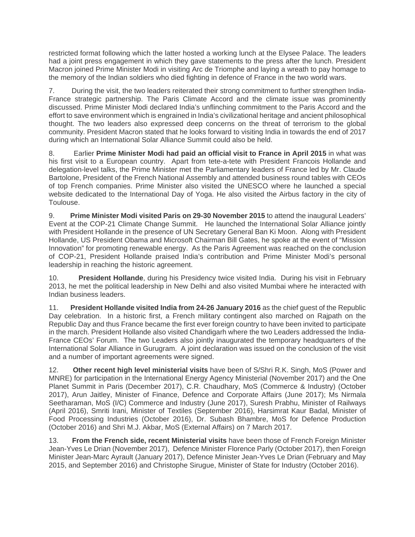restricted format following which the latter hosted a working lunch at the Elysee Palace. The leaders had a joint press engagement in which they gave statements to the press after the lunch. President Macron joined Prime Minister Modi in visiting Arc de Triomphe and laying a wreath to pay homage to the memory of the Indian soldiers who died fighting in defence of France in the two world wars.

7. During the visit, the two leaders reiterated their strong commitment to further strengthen India-France strategic partnership. The Paris Climate Accord and the climate issue was prominently discussed. Prime Minister Modi declared India's unflinching commitment to the Paris Accord and the effort to save environment which is engrained in India's civilizational heritage and ancient philosophical thought. The two leaders also expressed deep concerns on the threat of terrorism to the global community. President Macron stated that he looks forward to visiting India in towards the end of 2017 during which an International Solar Alliance Summit could also be held.

8. Earlier **Prime Minister Modi had paid an official visit to France in April 2015** in what was his first visit to a European country. Apart from tete-a-tete with President Francois Hollande and delegation-level talks, the Prime Minister met the Parliamentary leaders of France led by Mr. Claude Bartolone, President of the French National Assembly and attended business round tables with CEOs of top French companies. Prime Minister also visited the UNESCO where he launched a special website dedicated to the International Day of Yoga. He also visited the Airbus factory in the city of Toulouse.

9. **Prime Minister Modi visited Paris on 29-30 November 2015** to attend the inaugural Leaders' Event at the COP-21 Climate Change Summit. He launched the International Solar Alliance jointly with President Hollande in the presence of UN Secretary General Ban Ki Moon. Along with President Hollande, US President Obama and Microsoft Chairman Bill Gates, he spoke at the event of "Mission Innovation" for promoting renewable energy. As the Paris Agreement was reached on the conclusion of COP-21, President Hollande praised India's contribution and Prime Minister Modi's personal leadership in reaching the historic agreement.

10. **President Hollande**, during his Presidency twice visited India. During his visit in February 2013, he met the political leadership in New Delhi and also visited Mumbai where he interacted with Indian business leaders.

11. **President Hollande visited India from 24-26 January 2016** as the chief guest of the Republic Day celebration. In a historic first, a French military contingent also marched on Rajpath on the Republic Day and thus France became the first ever foreign country to have been invited to participate in the march. President Hollande also visited Chandigarh where the two Leaders addressed the India-France CEOs' Forum. The two Leaders also jointly inaugurated the temporary headquarters of the International Solar Alliance in Gurugram. A joint declaration was issued on the conclusion of the visit and a number of important agreements were signed.

12. **Other recent high level ministerial visits** have been of S/Shri R.K. Singh, MoS (Power and MNRE) for participation in the International Energy Agency Ministerial (November 2017) and the One Planet Summit in Paris (December 2017), C.R. Chaudhary, MoS (Commerce & Industry) (October 2017), Arun Jaitley, Minister of Finance, Defence and Corporate Affairs (June 2017); Ms Nirmala Seetharaman, MoS (I/C) Commerce and Industry (June 2017), Suresh Prabhu, Minister of Railways (April 2016), Smriti Irani, Minister of Textiles (September 2016), Harsimrat Kaur Badal, Minister of Food Processing Industries (October 2016), Dr. Subash Bhambre, MoS for Defence Production (October 2016) and Shri M.J. Akbar, MoS (External Affairs) on 7 March 2017.

13. **From the French side, recent Ministerial visits** have been those of French Foreign Minister Jean-Yves Le Drian (November 2017), Defence Minister Florence Parly (October 2017), then Foreign Minister Jean-Marc Ayrault (January 2017), Defence Minister Jean-Yves Le Drian (February and May 2015, and September 2016) and Christophe Sirugue, Minister of State for Industry (October 2016).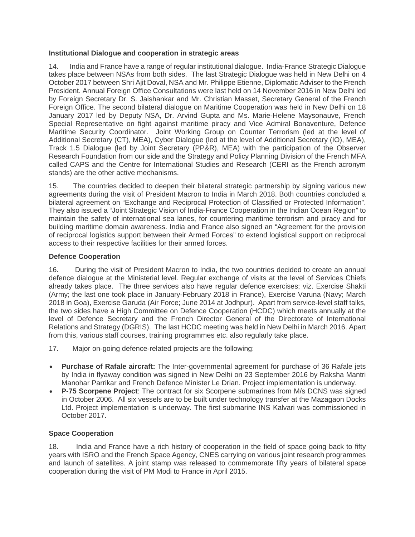### **Institutional Dialogue and cooperation in strategic areas**

14. India and France have a range of regular institutional dialogue. India-France Strategic Dialogue takes place between NSAs from both sides. The last Strategic Dialogue was held in New Delhi on 4 October 2017 between Shri Ajit Doval, NSA and Mr. Philippe Etienne, Diplomatic Adviser to the French President. Annual Foreign Office Consultations were last held on 14 November 2016 in New Delhi led by Foreign Secretary Dr. S. Jaishankar and Mr. Christian Masset, Secretary General of the French Foreign Office. The second bilateral dialogue on Maritime Cooperation was held in New Delhi on 18 January 2017 led by Deputy NSA, Dr. Arvind Gupta and Ms. Marie-Helene Maysonauve, French Special Representative on fight against maritime piracy and Vice Admiral Bonaventure, Defence Maritime Security Coordinator. Joint Working Group on Counter Terrorism (led at the level of Additional Secretary (CT), MEA), Cyber Dialogue (led at the level of Additional Secretary (IO), MEA), Track 1.5 Dialogue (led by Joint Secretary (PP&R), MEA) with the participation of the Observer Research Foundation from our side and the Strategy and Policy Planning Division of the French MFA called CAPS and the Centre for International Studies and Research (CERI as the French acronym stands) are the other active mechanisms.

15. The countries decided to deepen their bilateral strategic partnership by signing various new agreements during the visit of President Macron to India in March 2018. Both countries concluded a bilateral agreement on "Exchange and Reciprocal Protection of Classified or Protected Information". They also issued a "Joint Strategic Vision of India-France Cooperation in the Indian Ocean Region" to maintain the safety of international sea lanes, for countering maritime terrorism and piracy and for building maritime domain awareness. India and France also signed an "Agreement for the provision of reciprocal logistics support between their Armed Forces" to extend logistical support on reciprocal access to their respective facilities for their armed forces.

# **Defence Cooperation**

16. During the visit of President Macron to India, the two countries decided to create an annual defence dialogue at the Ministerial level. Regular exchange of visits at the level of Services Chiefs already takes place. The three services also have regular defence exercises; viz. Exercise Shakti (Army; the last one took place in January-February 2018 in France), Exercise Varuna (Navy; March 2018 in Goa), Exercise Garuda (Air Force; June 2014 at Jodhpur). Apart from service-level staff talks, the two sides have a High Committee on Defence Cooperation (HCDC) which meets annually at the level of Defence Secretary and the French Director General of the Directorate of International Relations and Strategy (DGRIS). The last HCDC meeting was held in New Delhi in March 2016. Apart from this, various staff courses, training programmes etc. also regularly take place.

- 17. Major on-going defence-related projects are the following:
- **Purchase of Rafale aircraft:** The Inter-governmental agreement for purchase of 36 Rafale jets by India in flyaway condition was signed in New Delhi on 23 September 2016 by Raksha Mantri Manohar Parrikar and French Defence Minister Le Drian. Project implementation is underway.
- **P-75 Scorpene Project**: The contract for six Scorpene submarines from M/s DCNS was signed in October 2006. All six vessels are to be built under technology transfer at the Mazagaon Docks Ltd. Project implementation is underway. The first submarine INS Kalvari was commissioned in October 2017.

# **Space Cooperation**

18. India and France have a rich history of cooperation in the field of space going back to fifty years with ISRO and the French Space Agency, CNES carrying on various joint research programmes and launch of satellites. A joint stamp was released to commemorate fifty years of bilateral space cooperation during the visit of PM Modi to France in April 2015.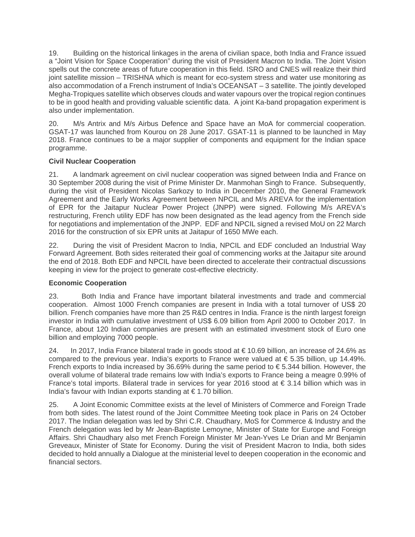19. Building on the historical linkages in the arena of civilian space, both India and France issued a "Joint Vision for Space Cooperation" during the visit of President Macron to India. The Joint Vision spells out the concrete areas of future cooperation in this field. ISRO and CNES will realize their third joint satellite mission – TRISHNA which is meant for eco-system stress and water use monitoring as also accommodation of a French instrument of India's OCEANSAT – 3 satellite. The jointly developed Megha-Tropiques satellite which observes clouds and water vapours over the tropical region continues to be in good health and providing valuable scientific data. A joint Ka-band propagation experiment is also under implementation.

20. M/s Antrix and M/s Airbus Defence and Space have an MoA for commercial cooperation. GSAT-17 was launched from Kourou on 28 June 2017. GSAT-11 is planned to be launched in May 2018. France continues to be a major supplier of components and equipment for the Indian space programme.

# **Civil Nuclear Cooperation**

21. A landmark agreement on civil nuclear cooperation was signed between India and France on 30 September 2008 during the visit of Prime Minister Dr. Manmohan Singh to France. Subsequently, during the visit of President Nicolas Sarkozy to India in December 2010, the General Framework Agreement and the Early Works Agreement between NPCIL and M/s AREVA for the implementation of EPR for the Jaitapur Nuclear Power Project (JNPP) were signed. Following M/s AREVA's restructuring, French utility EDF has now been designated as the lead agency from the French side for negotiations and implementation of the JNPP. EDF and NPCIL signed a revised MoU on 22 March 2016 for the construction of six EPR units at Jaitapur of 1650 MWe each.

22. During the visit of President Macron to India, NPCIL and EDF concluded an Industrial Way Forward Agreement. Both sides reiterated their goal of commencing works at the Jaitapur site around the end of 2018. Both EDF and NPCIL have been directed to accelerate their contractual discussions keeping in view for the project to generate cost-effective electricity.

# **Economic Cooperation**

23. Both India and France have important bilateral investments and trade and commercial cooperation. Almost 1000 French companies are present in India with a total turnover of US\$ 20 billion. French companies have more than 25 R&D centres in India. France is the ninth largest foreign investor in India with cumulative investment of US\$ 6.09 billion from April 2000 to October 2017. In France, about 120 Indian companies are present with an estimated investment stock of Euro one billion and employing 7000 people.

24. In 2017, India France bilateral trade in goods stood at € 10.69 billion, an increase of 24.6% as compared to the previous year. India's exports to France were valued at € 5.35 billion, up 14.49%. French exports to India increased by 36.69% during the same period to € 5.344 billion. However, the overall volume of bilateral trade remains low with India's exports to France being a meagre 0.99% of France's total imports. Bilateral trade in services for year 2016 stood at  $\epsilon$  3.14 billion which was in India's favour with Indian exports standing at € 1.70 billion.

25. A Joint Economic Committee exists at the level of Ministers of Commerce and Foreign Trade from both sides. The latest round of the Joint Committee Meeting took place in Paris on 24 October 2017. The Indian delegation was led by Shri C.R. Chaudhary, MoS for Commerce & Industry and the French delegation was led by Mr Jean-Baptiste Lemoyne, Minister of State for Europe and Foreign Affairs. Shri Chaudhary also met French Foreign Minister Mr Jean-Yves Le Drian and Mr Benjamin Greveaux, Minister of State for Economy. During the visit of President Macron to India, both sides decided to hold annually a Dialogue at the ministerial level to deepen cooperation in the economic and financial sectors.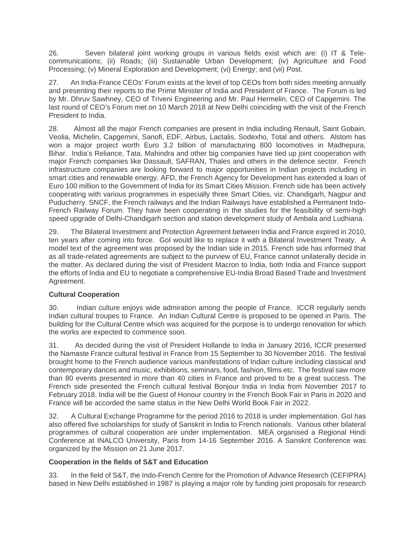26. Seven bilateral joint working groups in various fields exist which are: (i) IT & Telecommunications; (ii) Roads; (iii) Sustainable Urban Development; (iv) Agriculture and Food Processing; (v) Mineral Exploration and Development; (vi) Energy; and (vii) Post.

27. An India-France CEOs' Forum exists at the level of top CEOs from both sides meeting annually and presenting their reports to the Prime Minister of India and President of France. The Forum is led by Mr. Dhruv Sawhney, CEO of Triveni Engineering and Mr. Paul Hermelin, CEO of Capgemini. The last round of CEO's Forum met on 10 March 2018 at New Delhi coinciding with the visit of the French President to India.

28. Almost all the major French companies are present in India including Renault, Saint Gobain, Veolia, Michelin, Capgemini, Sanofi, EDF, Airbus, Lactalis, Sodexho, Total and others. Alstom has won a major project worth Euro 3.2 billion of manufacturing 800 locomotives in Madhepura, Bihar. India's Reliance, Tata, Mahindra and other big companies have tied up joint cooperation with major French companies like Dassault, SAFRAN, Thales and others in the defence sector. French infrastructure companies are looking forward to major opportunities in Indian projects including in smart cities and renewable energy. AFD, the French Agency for Development has extended a loan of Euro 100 million to the Government of India for its Smart Cities Mission. French side has been actively cooperating with various programmes in especially three Smart Cities, viz. Chandigarh, Nagpur and Puducherry. SNCF, the French railways and the Indian Railways have established a Permanent Indo-French Railway Forum. They have been cooperating in the studies for the feasibility of semi-high speed upgrade of Delhi-Chandigarh section and station development study of Ambala and Ludhiana.

29. The Bilateral Investment and Protection Agreement between India and France expired in 2010, ten years after coming into force. GoI would like to replace it with a Bilateral Investment Treaty. A model text of the agreement was proposed by the Indian side in 2015. French side has informed that as all trade-related agreements are subject to the purview of EU, France cannot unilaterally decide in the matter. As declared during the visit of President Macron to India, both India and France support the efforts of India and EU to negotiate a comprehensive EU-India Broad Based Trade and Investment Agreement.

# **Cultural Cooperation**

30. Indian culture enjoys wide admiration among the people of France. ICCR regularly sends Indian cultural troupes to France. An Indian Cultural Centre is proposed to be opened in Paris. The building for the Cultural Centre which was acquired for the purpose is to undergo renovation for which the works are expected to commence soon.

31. As decided during the visit of President Hollande to India in January 2016, ICCR presented the Namaste France cultural festival in France from 15 September to 30 November 2016. The festival brought home to the French audience various manifestations of Indian culture including classical and contemporary dances and music, exhibitions, seminars, food, fashion, films etc. The festival saw more than 80 events presented in more than 40 cities in France and proved to be a great success. The French side presented the French cultural festival Bonjour India in India from November 2017 to February 2018. India will be the Guest of Honour country in the French Book Fair in Paris in 2020 and France will be accorded the same status in the New Delhi World Book Fair in 2022.

32. A Cultural Exchange Programme for the period 2016 to 2018 is under implementation. GoI has also offered five scholarships for study of Sanskrit in India to French nationals. Various other bilateral programmes of cultural cooperation are under implementation. MEA organised a Regional Hindi Conference at INALCO University, Paris from 14-16 September 2016. A Sanskrit Conference was organized by the Mission on 21 June 2017.

# **Cooperation in the fields of S&T and Education**

33. In the field of S&T, the Indo-French Centre for the Promotion of Advance Research (CEFIPRA) based in New Delhi established in 1987 is playing a major role by funding joint proposals for research